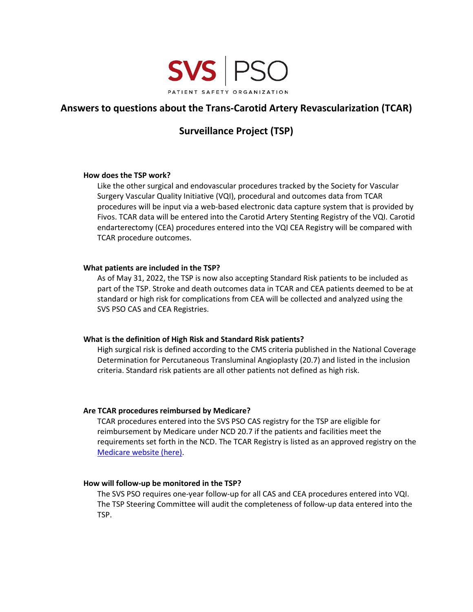

# **Answers to questions about the Trans-Carotid Artery Revascularization (TCAR)**

# **Surveillance Project (TSP)**

## **How does the TSP work?**

Like the other surgical and endovascular procedures tracked by the Society for Vascular Surgery Vascular Quality Initiative (VQI), procedural and outcomes data from TCAR procedures will be input via a web-based electronic data capture system that is provided by Fivos. TCAR data will be entered into the Carotid Artery Stenting Registry of the VQI. Carotid endarterectomy (CEA) procedures entered into the VQI CEA Registry will be compared with TCAR procedure outcomes.

## **What patients are included in the TSP?**

As of May 31, 2022, the TSP is now also accepting Standard Risk patients to be included as part of the TSP. Stroke and death outcomes data in TCAR and CEA patients deemed to be at standard or high risk for complications from CEA will be collected and analyzed using the SVS PSO CAS and CEA Registries.

# **What is the definition of High Risk and Standard Risk patients?**

High surgical risk is defined according to the CMS criteria published in the National Coverage Determination for Percutaneous Transluminal Angioplasty (20.7) and listed in the inclusion criteria. Standard risk patients are all other patients not defined as high risk.

# **Are TCAR procedures reimbursed by Medicare?**

TCAR procedures entered into the SVS PSO CAS registry for the TSP are eligible for reimbursement by Medicare under NCD 20.7 if the patients and facilities meet the requirements set forth in the NCD. The TCAR Registry is listed as an approved registry on the [Medicare website \(here\)](https://www.cms.gov/Medicare/Medicare-General-Information/MedicareApprovedFacilitie/Carotid-Artery-Stenting-CAS-Investigational-Studies.html).

# **How will follow-up be monitored in the TSP?**

The SVS PSO requires one-year follow-up for all CAS and CEA procedures entered into VQI. The TSP Steering Committee will audit the completeness of follow-up data entered into the TSP.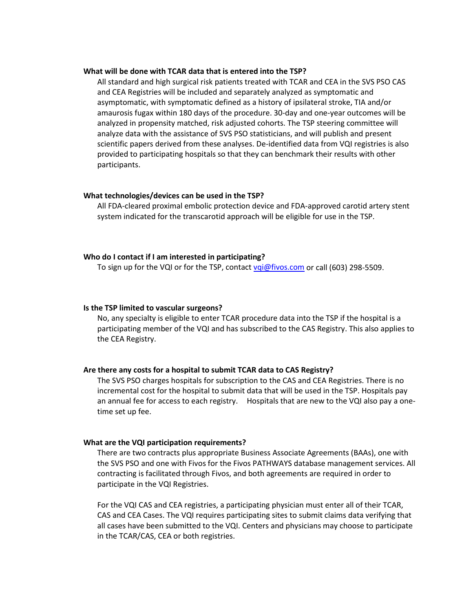#### **What will be done with TCAR data that is entered into the TSP?**

All standard and high surgical risk patients treated with TCAR and CEA in the SVS PSO CAS and CEA Registries will be included and separately analyzed as symptomatic and asymptomatic, with symptomatic defined as a history of ipsilateral stroke, TIA and/or amaurosis fugax within 180 days of the procedure. 30-day and one-year outcomes will be analyzed in propensity matched, risk adjusted cohorts. The TSP steering committee will analyze data with the assistance of SVS PSO statisticians, and will publish and present scientific papers derived from these analyses. De-identified data from VQI registries is also provided to participating hospitals so that they can benchmark their results with other participants.

### **What technologies/devices can be used in the TSP?**

All FDA-cleared proximal embolic protection device and FDA-approved carotid artery stent system indicated for the transcarotid approach will be eligible for use in the TSP.

#### **Who do I contact if I am interested in participating?**

To sign up for the VQI or for the TSP, contact vai@fivos.com or call (603) 298-5509.

#### **Is the TSP limited to vascular surgeons?**

No, any specialty is eligible to enter TCAR procedure data into the TSP if the hospital is a participating member of the VQI and has subscribed to the CAS Registry. This also applies to the CEA Registry.

### **Are there any costs for a hospital to submit TCAR data to CAS Registry?**

The SVS PSO charges hospitals for subscription to the CAS and CEA Registries. There is no incremental cost for the hospital to submit data that will be used in the TSP. Hospitals pay an annual fee for access to each registry. Hospitals that are new to the VQI also pay a onetime set up fee.

### **What are the VQI participation requirements?**

There are two contracts plus appropriate Business Associate Agreements (BAAs), one with the SVS PSO and one with Fivos for the Fivos PATHWAYS database management services. All contracting is facilitated through Fivos, and both agreements are required in order to participate in the VQI Registries.

For the VQI CAS and CEA registries, a participating physician must enter all of their TCAR, CAS and CEA Cases. The VQI requires participating sites to submit claims data verifying that all cases have been submitted to the VQI. Centers and physicians may choose to participate in the TCAR/CAS, CEA or both registries.